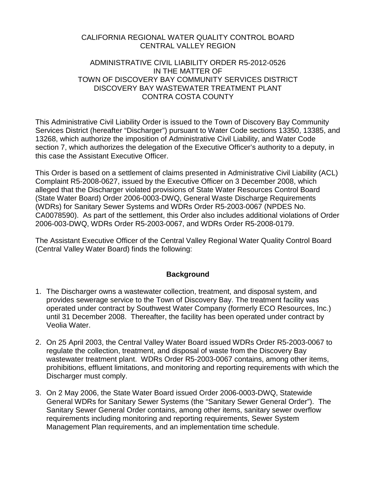## CALIFORNIA REGIONAL WATER QUALITY CONTROL BOARD CENTRAL VALLEY REGION

## ADMINISTRATIVE CIVIL LIABILITY ORDER R5-2012-0526 IN THE MATTER OF TOWN OF DISCOVERY BAY COMMUNITY SERVICES DISTRICT DISCOVERY BAY WASTEWATER TREATMENT PLANT CONTRA COSTA COUNTY

This Administrative Civil Liability Order is issued to the Town of Discovery Bay Community Services District (hereafter "Discharger") pursuant to Water Code sections 13350, 13385, and 13268, which authorize the imposition of Administrative Civil Liability, and Water Code section 7, which authorizes the delegation of the Executive Officer's authority to a deputy, in this case the Assistant Executive Officer.

This Order is based on a settlement of claims presented in Administrative Civil Liability (ACL) Complaint R5-2008-0627, issued by the Executive Officer on 3 December 2008, which alleged that the Discharger violated provisions of State Water Resources Control Board (State Water Board) Order 2006-0003-DWQ, General Waste Discharge Requirements (WDRs) for Sanitary Sewer Systems and WDRs Order R5-2003-0067 (NPDES No. CA0078590). As part of the settlement, this Order also includes additional violations of Order 2006-003-DWQ, WDRs Order R5-2003-0067, and WDRs Order R5-2008-0179.

The Assistant Executive Officer of the Central Valley Regional Water Quality Control Board (Central Valley Water Board) finds the following:

# **Background**

- 1. The Discharger owns a wastewater collection, treatment, and disposal system, and provides sewerage service to the Town of Discovery Bay. The treatment facility was operated under contract by Southwest Water Company (formerly ECO Resources, Inc.) until 31 December 2008. Thereafter, the facility has been operated under contract by Veolia Water.
- 2. On 25 April 2003, the Central Valley Water Board issued WDRs Order R5-2003-0067 to regulate the collection, treatment, and disposal of waste from the Discovery Bay wastewater treatment plant. WDRs Order R5-2003-0067 contains, among other items, prohibitions, effluent limitations, and monitoring and reporting requirements with which the Discharger must comply.
- <span id="page-0-0"></span>3. On 2 May 2006, the State Water Board issued Order 2006-0003-DWQ, Statewide General WDRs for Sanitary Sewer Systems (the "Sanitary Sewer General Order"). The Sanitary Sewer General Order contains, among other items, sanitary sewer overflow requirements including monitoring and reporting requirements, Sewer System Management Plan requirements, and an implementation time schedule.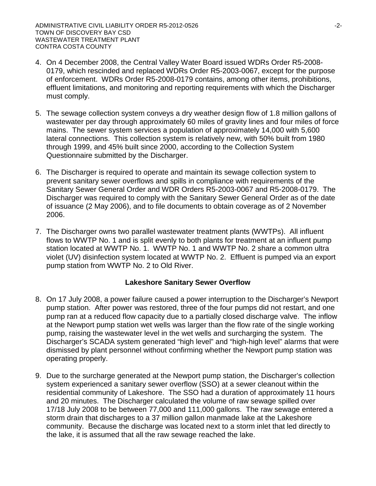- 4. On 4 December 2008, the Central Valley Water Board issued WDRs Order R5-2008- 0179, which rescinded and replaced WDRs Order R5-2003-0067, except for the purpose of enforcement. WDRs Order R5-2008-0179 contains, among other items, prohibitions, effluent limitations, and monitoring and reporting requirements with which the Discharger must comply.
- 5. The sewage collection system conveys a dry weather design flow of 1.8 million gallons of wastewater per day through approximately 60 miles of gravity lines and four miles of force mains. The sewer system services a population of approximately 14,000 with 5,600 lateral connections. This collection system is relatively new, with 50% built from 1980 through 1999, and 45% built since 2000, according to the Collection System Questionnaire submitted by the Discharger.
- 6. The Discharger is required to operate and maintain its sewage collection system to prevent sanitary sewer overflows and spills in compliance with requirements of the Sanitary Sewer General Order and WDR Orders R5-2003-0067 and R5-2008-0179. The Discharger was required to comply with the Sanitary Sewer General Order as of the date of issuance (2 May 2006), and to file documents to obtain coverage as of 2 November 2006.
- 7. The Discharger owns two parallel wastewater treatment plants (WWTPs). All influent flows to WWTP No. 1 and is split evenly to both plants for treatment at an influent pump station located at WWTP No. 1. WWTP No. 1 and WWTP No. 2 share a common ultra violet (UV) disinfection system located at WWTP No. 2. Effluent is pumped via an export pump station from WWTP No. 2 to Old River.

## **Lakeshore Sanitary Sewer Overflow**

- 8. On 17 July 2008, a power failure caused a power interruption to the Discharger's Newport pump station. After power was restored, three of the four pumps did not restart, and one pump ran at a reduced flow capacity due to a partially closed discharge valve. The inflow at the Newport pump station wet wells was larger than the flow rate of the single working pump, raising the wastewater level in the wet wells and surcharging the system. The Discharger's SCADA system generated "high level" and "high-high level" alarms that were dismissed by plant personnel without confirming whether the Newport pump station was operating properly.
- 9. Due to the surcharge generated at the Newport pump station, the Discharger's collection system experienced a sanitary sewer overflow (SSO) at a sewer cleanout within the residential community of Lakeshore. The SSO had a duration of approximately 11 hours and 20 minutes. The Discharger calculated the volume of raw sewage spilled over 17/18 July 2008 to be between 77,000 and 111,000 gallons. The raw sewage entered a storm drain that discharges to a 37 million gallon manmade lake at the Lakeshore community. Because the discharge was located next to a storm inlet that led directly to the lake, it is assumed that all the raw sewage reached the lake.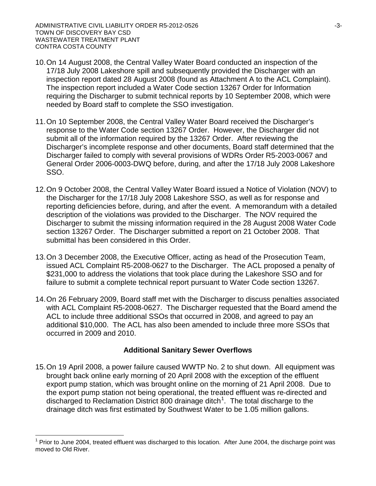- 10.On 14 August 2008, the Central Valley Water Board conducted an inspection of the 17/18 July 2008 Lakeshore spill and subsequently provided the Discharger with an inspection report dated 28 August 2008 (found as Attachment A to the ACL Complaint). The inspection report included a Water Code section 13267 Order for Information requiring the Discharger to submit technical reports by 10 September 2008, which were needed by Board staff to complete the SSO investigation.
- 11.On 10 September 2008, the Central Valley Water Board received the Discharger's response to the Water Code section 13267 Order. However, the Discharger did not submit all of the information required by the 13267 Order. After reviewing the Discharger's incomplete response and other documents, Board staff determined that the Discharger failed to comply with several provisions of WDRs Order R5-2003-0067 and General Order 2006-0003-DWQ before, during, and after the 17/18 July 2008 Lakeshore SSO.
- 12.On 9 October 2008, the Central Valley Water Board issued a Notice of Violation (NOV) to the Discharger for the 17/18 July 2008 Lakeshore SSO, as well as for response and reporting deficiencies before, during, and after the event. A memorandum with a detailed description of the violations was provided to the Discharger. The NOV required the Discharger to submit the missing information required in the 28 August 2008 Water Code section 13267 Order. The Discharger submitted a report on 21 October 2008. That submittal has been considered in this Order.
- 13.On 3 December 2008, the Executive Officer, acting as head of the Prosecution Team, issued ACL Complaint R5-2008-0627 to the Discharger. The ACL proposed a penalty of \$231,000 to address the violations that took place during the Lakeshore SSO and for failure to submit a complete technical report pursuant to Water Code section 13267.
- 14.On 26 February 2009, Board staff met with the Discharger to discuss penalties associated with ACL Complaint R5-2008-0627. The Discharger requested that the Board amend the ACL to include three additional SSOs that occurred in 2008, and agreed to pay an additional \$10,000. The ACL has also been amended to include three more SSOs that occurred in 2009 and 2010.

## **Additional Sanitary Sewer Overflows**

15.On 19 April 2008, a power failure caused WWTP No. 2 to shut down. All equipment was brought back online early morning of 20 April 2008 with the exception of the effluent export pump station, which was brought online on the morning of 21 April 2008. Due to the export pump station not being operational, the treated effluent was re-directed and discharged to Reclamation District 800 drainage ditch<sup>[1](#page-0-0)</sup>. The total discharge to the drainage ditch was first estimated by Southwest Water to be 1.05 million gallons.

<span id="page-2-0"></span>Prior to June 2004, treated effluent was discharged to this location. After June 2004, the discharge point was moved to Old River.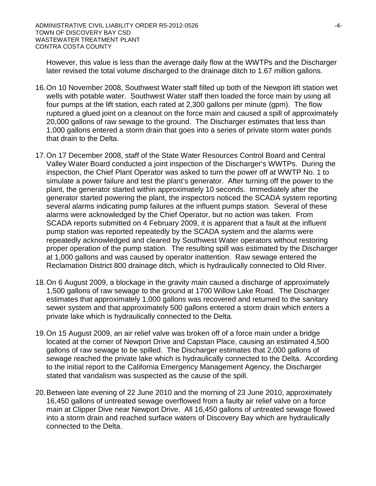However, this value is less than the average daily flow at the WWTPs and the Discharger later revised the total volume discharged to the drainage ditch to 1.67 million gallons.

- 16.On 10 November 2008, Southwest Water staff filled up both of the Newport lift station wet wells with potable water. Southwest Water staff then loaded the force main by using all four pumps at the lift station, each rated at 2,300 gallons per minute (gpm). The flow ruptured a glued joint on a cleanout on the force main and caused a spill of approximately 20,000 gallons of raw sewage to the ground. The Discharger estimates that less than 1,000 gallons entered a storm drain that goes into a series of private storm water ponds that drain to the Delta.
- 17.On 17 December 2008, staff of the State Water Resources Control Board and Central Valley Water Board conducted a joint inspection of the Discharger's WWTPs. During the inspection, the Chief Plant Operator was asked to turn the power off at WWTP No. 1 to simulate a power failure and test the plant's generator. After turning off the power to the plant, the generator started within approximately 10 seconds. Immediately after the generator started powering the plant, the inspectors noticed the SCADA system reporting several alarms indicating pump failures at the influent pumps station. Several of these alarms were acknowledged by the Chief Operator, but no action was taken. From SCADA reports submitted on 4 February 2009, it is apparent that a fault at the influent pump station was reported repeatedly by the SCADA system and the alarms were repeatedly acknowledged and cleared by Southwest Water operators without restoring proper operation of the pump station. The resulting spill was estimated by the Discharger at 1,000 gallons and was caused by operator inattention. Raw sewage entered the Reclamation District 800 drainage ditch, which is hydraulically connected to Old River.
- 18.On 6 August 2009, a blockage in the gravity main caused a discharge of approximately 1,500 gallons of raw sewage to the ground at 1700 Willow Lake Road. The Discharger estimates that approximately 1,000 gallons was recovered and returned to the sanitary sewer system and that approximately 500 gallons entered a storm drain which enters a private lake which is hydraulically connected to the Delta.
- 19.On 15 August 2009, an air relief valve was broken off of a force main under a bridge located at the corner of Newport Drive and Capstan Place, causing an estimated 4,500 gallons of raw sewage to be spilled. The Discharger estimates that 2,000 gallons of sewage reached the private lake which is hydraulically connected to the Delta. According to the initial report to the California Emergency Management Agency, the Discharger stated that vandalism was suspected as the cause of the spill.
- 20.Between late evening of 22 June 2010 and the morning of 23 June 2010, approximately 16,450 gallons of untreated sewage overflowed from a faulty air relief valve on a force main at Clipper Dive near Newport Drive. All 16,450 gallons of untreated sewage flowed into a storm drain and reached surface waters of Discovery Bay which are hydraulically connected to the Delta.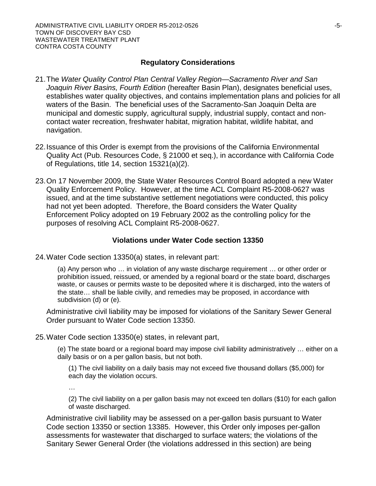## **Regulatory Considerations**

- 21.The *Water Quality Control Plan Central Valley Region—Sacramento River and San Joaquin River Basins, Fourth Edition* (hereafter Basin Plan), designates beneficial uses, establishes water quality objectives, and contains implementation plans and policies for all waters of the Basin. The beneficial uses of the Sacramento-San Joaquin Delta are municipal and domestic supply, agricultural supply, industrial supply, contact and noncontact water recreation, freshwater habitat, migration habitat, wildlife habitat, and navigation.
- 22.Issuance of this Order is exempt from the provisions of the California Environmental Quality Act (Pub. Resources Code, § 21000 et seq.), in accordance with California Code of Regulations, title 14, section 15321(a)(2).
- 23.On 17 November 2009, the State Water Resources Control Board adopted a new Water Quality Enforcement Policy. However, at the time ACL Complaint R5-2008-0627 was issued, and at the time substantive settlement negotiations were conducted, this policy had not yet been adopted. Therefore, the Board considers the Water Quality Enforcement Policy adopted on 19 February 2002 as the controlling policy for the purposes of resolving ACL Complaint R5-2008-0627.

# **Violations under Water Code section 13350**

24.Water Code section 13350(a) states, in relevant part:

(a) Any person who … in violation of any waste discharge requirement … or other order or prohibition issued, reissued, or amended by a regional board or the state board, discharges waste, or causes or permits waste to be deposited where it is discharged, into the waters of the state… shall be liable civilly, and remedies may be proposed, in accordance with subdivision (d) or (e).

Administrative civil liability may be imposed for violations of the Sanitary Sewer General Order pursuant to Water Code section 13350.

25.Water Code section 13350(e) states, in relevant part,

(e) The state board or a regional board may impose civil liability administratively … either on a daily basis or on a per gallon basis, but not both.

(1) The civil liability on a daily basis may not exceed five thousand dollars (\$5,000) for each day the violation occurs.

…

(2) The civil liability on a per gallon basis may not exceed ten dollars (\$10) for each gallon of waste discharged.

Administrative civil liability may be assessed on a per-gallon basis pursuant to Water Code section 13350 or section 13385. However, this Order only imposes per-gallon assessments for wastewater that discharged to surface waters; the violations of the Sanitary Sewer General Order (the violations addressed in this section) are being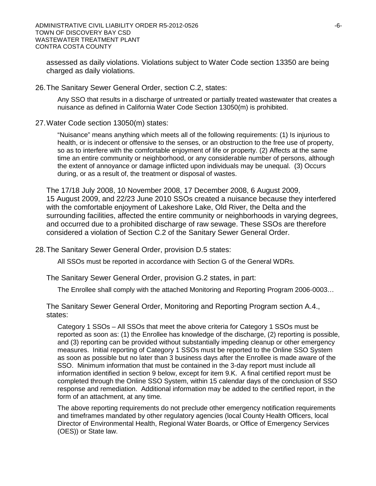assessed as daily violations. Violations subject to Water Code section 13350 are being charged as daily violations.

#### 26.The Sanitary Sewer General Order, section C.2, states:

Any SSO that results in a discharge of untreated or partially treated wastewater that creates a nuisance as defined in California Water Code Section 13050(m) is prohibited.

#### 27.Water Code section 13050(m) states:

"Nuisance" means anything which meets all of the following requirements: (1) Is injurious to health, or is indecent or offensive to the senses, or an obstruction to the free use of property, so as to interfere with the comfortable enjoyment of life or property. (2) Affects at the same time an entire community or neighborhood, or any considerable number of persons, although the extent of annoyance or damage inflicted upon individuals may be unequal. (3) Occurs during, or as a result of, the treatment or disposal of wastes.

The 17/18 July 2008, 10 November 2008, 17 December 2008, 6 August 2009, 15 August 2009, and 22/23 June 2010 SSOs created a nuisance because they interfered with the comfortable enjoyment of Lakeshore Lake, Old River, the Delta and the surrounding facilities, affected the entire community or neighborhoods in varying degrees, and occurred due to a prohibited discharge of raw sewage. These SSOs are therefore considered a violation of Section C.2 of the Sanitary Sewer General Order.

28.The Sanitary Sewer General Order, provision D.5 states:

All SSOs must be reported in accordance with Section G of the General WDRs.

The Sanitary Sewer General Order, provision G.2 states, in part:

The Enrollee shall comply with the attached Monitoring and Reporting Program 2006-0003…

The Sanitary Sewer General Order, Monitoring and Reporting Program section A.4., states:

Category 1 SSOs – All SSOs that meet the above criteria for Category 1 SSOs must be reported as soon as: (1) the Enrollee has knowledge of the discharge, (2) reporting is possible, and (3) reporting can be provided without substantially impeding cleanup or other emergency measures. Initial reporting of Category 1 SSOs must be reported to the Online SSO System as soon as possible but no later than 3 business days after the Enrollee is made aware of the SSO. Minimum information that must be contained in the 3-day report must include all information identified in section 9 below, except for item 9.K. A final certified report must be completed through the Online SSO System, within 15 calendar days of the conclusion of SSO response and remediation. Additional information may be added to the certified report, in the form of an attachment, at any time.

The above reporting requirements do not preclude other emergency notification requirements and timeframes mandated by other regulatory agencies (local County Health Officers, local Director of Environmental Health, Regional Water Boards, or Office of Emergency Services (OES)) or State law.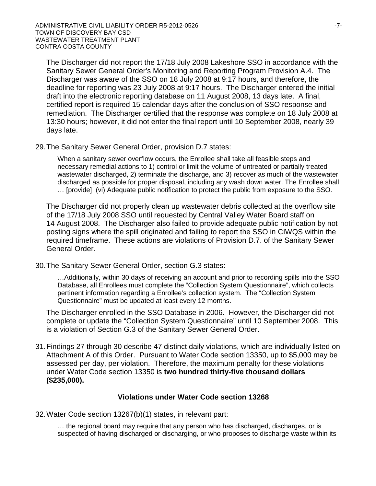The Discharger did not report the 17/18 July 2008 Lakeshore SSO in accordance with the Sanitary Sewer General Order's Monitoring and Reporting Program Provision A.4. The Discharger was aware of the SSO on 18 July 2008 at 9:17 hours, and therefore, the deadline for reporting was 23 July 2008 at 9:17 hours. The Discharger entered the initial draft into the electronic reporting database on 11 August 2008, 13 days late. A final, certified report is required 15 calendar days after the conclusion of SSO response and remediation. The Discharger certified that the response was complete on 18 July 2008 at 13:30 hours; however, it did not enter the final report until 10 September 2008, nearly 39 days late.

29.The Sanitary Sewer General Order, provision D.7 states:

When a sanitary sewer overflow occurs, the Enrollee shall take all feasible steps and necessary remedial actions to 1) control or limit the volume of untreated or partially treated wastewater discharged, 2) terminate the discharge, and 3) recover as much of the wastewater discharged as possible for proper disposal, including any wash down water. The Enrollee shall … [provide] (vi) Adequate public notification to protect the public from exposure to the SSO.

The Discharger did not properly clean up wastewater debris collected at the overflow site of the 17/18 July 2008 SSO until requested by Central Valley Water Board staff on 14 August 2008. The Discharger also failed to provide adequate public notification by not posting signs where the spill originated and failing to report the SSO in CIWQS within the required timeframe. These actions are violations of Provision D.7. of the Sanitary Sewer General Order.

30.The Sanitary Sewer General Order, section G.3 states:

…Additionally, within 30 days of receiving an account and prior to recording spills into the SSO Database, all Enrollees must complete the "Collection System Questionnaire", which collects pertinent information regarding a Enrollee's collection system. The "Collection System Questionnaire" must be updated at least every 12 months.

The Discharger enrolled in the SSO Database in 2006. However, the Discharger did not complete or update the "Collection System Questionnaire" until 10 September 2008. This is a violation of Section G.3 of the Sanitary Sewer General Order.

31.Findings 27 through 30 describe 47 distinct daily violations, which are individually listed on Attachment A of this Order. Pursuant to Water Code section 13350, up to \$5,000 may be assessed per day, per violation. Therefore, the maximum penalty for these violations under Water Code section 13350 is **two hundred thirty-five thousand dollars (\$235,000).** 

#### **Violations under Water Code section 13268**

32.Water Code section 13267(b)(1) states, in relevant part:

… the regional board may require that any person who has discharged, discharges, or is suspected of having discharged or discharging, or who proposes to discharge waste within its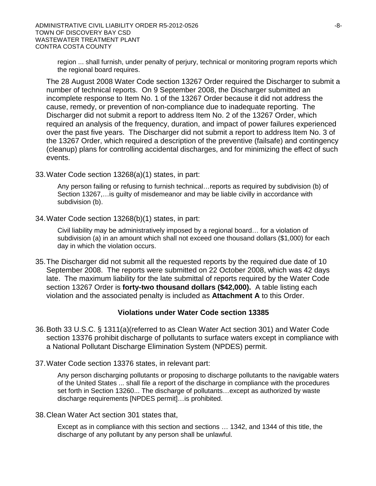region ... shall furnish, under penalty of perjury, technical or monitoring program reports which the regional board requires.

The 28 August 2008 Water Code section 13267 Order required the Discharger to submit a number of technical reports. On 9 September 2008, the Discharger submitted an incomplete response to Item No. 1 of the 13267 Order because it did not address the cause, remedy, or prevention of non-compliance due to inadequate reporting. The Discharger did not submit a report to address Item No. 2 of the 13267 Order, which required an analysis of the frequency, duration, and impact of power failures experienced over the past five years. The Discharger did not submit a report to address Item No. 3 of the 13267 Order, which required a description of the preventive (failsafe) and contingency (cleanup) plans for controlling accidental discharges, and for minimizing the effect of such events.

33.Water Code section 13268(a)(1) states, in part:

Any person failing or refusing to furnish technical…reports as required by subdivision (b) of Section 13267,…is guilty of misdemeanor and may be liable civilly in accordance with subdivision (b).

34.Water Code section 13268(b)(1) states, in part:

Civil liability may be administratively imposed by a regional board… for a violation of subdivision (a) in an amount which shall not exceed one thousand dollars (\$1,000) for each day in which the violation occurs.

35.The Discharger did not submit all the requested reports by the required due date of 10 September 2008. The reports were submitted on 22 October 2008, which was 42 days late. The maximum liability for the late submittal of reports required by the Water Code section 13267 Order is **forty-two thousand dollars (\$42,000).** A table listing each violation and the associated penalty is included as **Attachment A** to this Order.

## **Violations under Water Code section 13385**

- 36.Both 33 U.S.C. § 1311(a)(referred to as Clean Water Act section 301) and Water Code section 13376 prohibit discharge of pollutants to surface waters except in compliance with a National Pollutant Discharge Elimination System (NPDES) permit.
- 37.Water Code section 13376 states, in relevant part:

Any person discharging pollutants or proposing to discharge pollutants to the navigable waters of the United States ... shall file a report of the discharge in compliance with the procedures set forth in Section 13260... The discharge of pollutants…except as authorized by waste discharge requirements [NPDES permit]…is prohibited.

38.Clean Water Act section 301 states that,

Except as in compliance with this section and sections … 1342, and 1344 of this title, the discharge of any pollutant by any person shall be unlawful.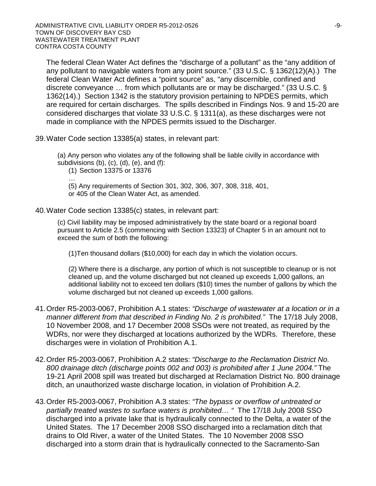The federal Clean Water Act defines the "discharge of a pollutant" as the "any addition of any pollutant to navigable waters from any point source." (33 U.S.C. § 1362(12)(A).) The federal Clean Water Act defines a "point source" as, "any discernible, confined and discrete conveyance … from which pollutants are or may be discharged." (33 U.S.C. § 1362(14).) Section 1342 is the statutory provision pertaining to NPDES permits, which are required for certain discharges. The spills described in Findings Nos. 9 and 15-20 are considered discharges that violate 33 U.S.C. § 1311(a), as these discharges were not made in compliance with the NPDES permits issued to the Discharger.

39.Water Code section 13385(a) states, in relevant part:

(a) Any person who violates any of the following shall be liable civilly in accordance with subdivisions  $(b)$ ,  $(c)$ ,  $(d)$ ,  $(e)$ , and  $(f)$ :

(1) Section 13375 or 13376

… (5) Any requirements of Section 301, 302, 306, 307, 308, 318, 401, or 405 of the Clean Water Act, as amended.

40.Water Code section 13385(c) states, in relevant part:

(c) Civil liability may be imposed administratively by the state board or a regional board pursuant to Article 2.5 (commencing with Section 13323) of Chapter 5 in an amount not to exceed the sum of both the following:

(1)Ten thousand dollars (\$10,000) for each day in which the violation occurs.

(2) Where there is a discharge, any portion of which is not susceptible to cleanup or is not cleaned up, and the volume discharged but not cleaned up exceeds 1,000 gallons, an additional liability not to exceed ten dollars (\$10) times the number of gallons by which the volume discharged but not cleaned up exceeds 1,000 gallons.

- 41.Order R5-2003-0067, Prohibition A.1 states: *"Discharge of wastewater at a location or in a manner different from that described in Finding No. 2 is prohibited."* The 17/18 July 2008, 10 November 2008, and 17 December 2008 SSOs were not treated, as required by the WDRs, nor were they discharged at locations authorized by the WDRs. Therefore, these discharges were in violation of Prohibition A.1.
- 42.Order R5-2003-0067, Prohibition A.2 states: *"Discharge to the Reclamation District No. 800 drainage ditch (discharge points 002 and 003) is prohibited after 1 June 2004."* The 19-21 April 2008 spill was treated but discharged at Reclamation District No. 800 drainage ditch, an unauthorized waste discharge location, in violation of Prohibition A.2.
- 43.Order R5-2003-0067, Prohibition A.3 states: *"The bypass or overflow of untreated or partially treated wastes to surface waters is prohibited… "* The 17/18 July 2008 SSO discharged into a private lake that is hydraulically connected to the Delta, a water of the United States. The 17 December 2008 SSO discharged into a reclamation ditch that drains to Old River, a water of the United States. The 10 November 2008 SSO discharged into a storm drain that is hydraulically connected to the Sacramento-San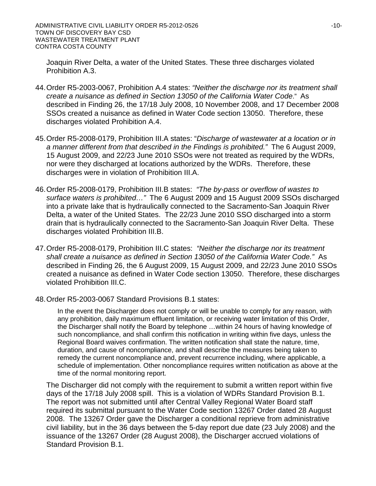Joaquin River Delta, a water of the United States. These three discharges violated Prohibition A.3.

- 44.Order R5-2003-0067, Prohibition A.4 states: *"Neither the discharge nor its treatment shall create a nuisance as defined in Section 13050 of the California Water Code*." As described in Finding 26, the 17/18 July 2008, 10 November 2008, and 17 December 2008 SSOs created a nuisance as defined in Water Code section 13050. Therefore, these discharges violated Prohibition A.4.
- 45.Order R5-2008-0179, Prohibition III.A states: "*Discharge of wastewater at a location or in a manner different from that described in the Findings is prohibited."* The 6 August 2009, 15 August 2009, and 22/23 June 2010 SSOs were not treated as required by the WDRs, nor were they discharged at locations authorized by the WDRs. Therefore, these discharges were in violation of Prohibition III.A.
- 46.Order R5-2008-0179, Prohibition III.B states: *"The by-pass or overflow of wastes to surface waters is prohibited…"* The 6 August 2009 and 15 August 2009 SSOs discharged into a private lake that is hydraulically connected to the Sacramento-San Joaquin River Delta, a water of the United States. The 22/23 June 2010 SSO discharged into a storm drain that is hydraulically connected to the Sacramento-San Joaquin River Delta. These discharges violated Prohibition III.B.
- 47.Order R5-2008-0179, Prohibition III.C states: *"Neither the discharge nor its treatment shall create a nuisance as defined in Section 13050 of the California Water Code."* As described in Finding 26, the 6 August 2009, 15 August 2009, and 22/23 June 2010 SSOs created a nuisance as defined in Water Code section 13050. Therefore, these discharges violated Prohibition III.C.
- 48.Order R5-2003-0067 Standard Provisions B.1 states:

In the event the Discharger does not comply or will be unable to comply for any reason, with any prohibition, daily maximum effluent limitation, or receiving water limitation of this Order, the Discharger shall notify the Board by telephone …within 24 hours of having knowledge of such noncompliance, and shall confirm this notification in writing within five days, unless the Regional Board waives confirmation. The written notification shall state the nature, time, duration, and cause of noncompliance, and shall describe the measures being taken to remedy the current noncompliance and, prevent recurrence including, where applicable, a schedule of implementation. Other noncompliance requires written notification as above at the time of the normal monitoring report.

The Discharger did not comply with the requirement to submit a written report within five days of the 17/18 July 2008 spill. This is a violation of WDRs Standard Provision B.1. The report was not submitted until after Central Valley Regional Water Board staff required its submittal pursuant to the Water Code section 13267 Order dated 28 August 2008. The 13267 Order gave the Discharger a conditional reprieve from administrative civil liability, but in the 36 days between the 5-day report due date (23 July 2008) and the issuance of the 13267 Order (28 August 2008), the Discharger accrued violations of Standard Provision B.1.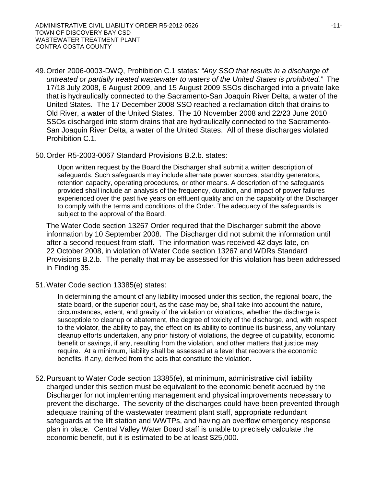- 49.Order 2006-0003-DWQ, Prohibition C.1 states*: "Any SSO that results in a discharge of untreated or partially treated wastewater to waters of the United States is prohibited."* The 17/18 July 2008, 6 August 2009, and 15 August 2009 SSOs discharged into a private lake that is hydraulically connected to the Sacramento-San Joaquin River Delta, a water of the United States. The 17 December 2008 SSO reached a reclamation ditch that drains to Old River, a water of the United States. The 10 November 2008 and 22/23 June 2010 SSOs discharged into storm drains that are hydraulically connected to the Sacramento-San Joaquin River Delta, a water of the United States. All of these discharges violated Prohibition C.1.
- 50.Order R5-2003-0067 Standard Provisions B.2.b. states:

Upon written request by the Board the Discharger shall submit a written description of safeguards. Such safeguards may include alternate power sources, standby generators, retention capacity, operating procedures, or other means. A description of the safeguards provided shall include an analysis of the frequency, duration, and impact of power failures experienced over the past five years on effluent quality and on the capability of the Discharger to comply with the terms and conditions of the Order. The adequacy of the safeguards is subject to the approval of the Board.

The Water Code section 13267 Order required that the Discharger submit the above information by 10 September 2008. The Discharger did not submit the information until after a second request from staff. The information was received 42 days late, on 22 October 2008, in violation of Water Code section 13267 and WDRs Standard Provisions B.2.b. The penalty that may be assessed for this violation has been addressed in Finding 35.

51.Water Code section 13385(e) states:

In determining the amount of any liability imposed under this section, the regional board, the state board, or the superior court, as the case may be, shall take into account the nature, circumstances, extent, and gravity of the violation or violations, whether the discharge is susceptible to cleanup or abatement, the degree of toxicity of the discharge, and, with respect to the violator, the ability to pay, the effect on its ability to continue its business, any voluntary cleanup efforts undertaken, any prior history of violations, the degree of culpability, economic benefit or savings, if any, resulting from the violation, and other matters that justice may require. At a minimum, liability shall be assessed at a level that recovers the economic benefits, if any, derived from the acts that constitute the violation.

52.Pursuant to Water Code section 13385(e), at minimum, administrative civil liability charged under this section must be equivalent to the economic benefit accrued by the Discharger for not implementing management and physical improvements necessary to prevent the discharge. The severity of the discharges could have been prevented through adequate training of the wastewater treatment plant staff, appropriate redundant safeguards at the lift station and WWTPs, and having an overflow emergency response plan in place. Central Valley Water Board staff is unable to precisely calculate the economic benefit, but it is estimated to be at least \$25,000.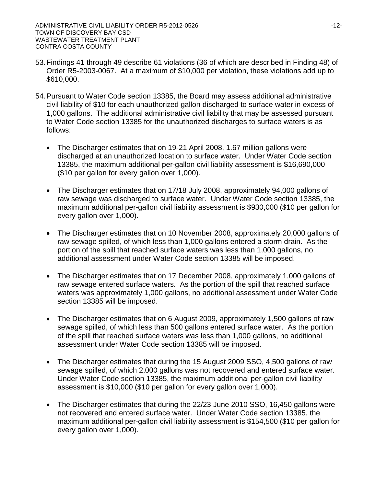- 53.Findings 41 through 49 describe 61 violations (36 of which are described in Finding 48) of Order R5-2003-0067. At a maximum of \$10,000 per violation, these violations add up to \$610,000.
- 54.Pursuant to Water Code section 13385, the Board may assess additional administrative civil liability of \$10 for each unauthorized gallon discharged to surface water in excess of 1,000 gallons. The additional administrative civil liability that may be assessed pursuant to Water Code section 13385 for the unauthorized discharges to surface waters is as follows:
	- The Discharger estimates that on 19-21 April 2008, 1.67 million gallons were discharged at an unauthorized location to surface water. Under Water Code section 13385, the maximum additional per-gallon civil liability assessment is \$16,690,000 (\$10 per gallon for every gallon over 1,000).
	- The Discharger estimates that on 17/18 July 2008, approximately 94,000 gallons of raw sewage was discharged to surface water. Under Water Code section 13385, the maximum additional per-gallon civil liability assessment is \$930,000 (\$10 per gallon for every gallon over 1,000).
	- The Discharger estimates that on 10 November 2008, approximately 20,000 gallons of raw sewage spilled, of which less than 1,000 gallons entered a storm drain. As the portion of the spill that reached surface waters was less than 1,000 gallons, no additional assessment under Water Code section 13385 will be imposed.
	- The Discharger estimates that on 17 December 2008, approximately 1,000 gallons of raw sewage entered surface waters. As the portion of the spill that reached surface waters was approximately 1,000 gallons, no additional assessment under Water Code section 13385 will be imposed.
	- The Discharger estimates that on 6 August 2009, approximately 1,500 gallons of raw sewage spilled, of which less than 500 gallons entered surface water. As the portion of the spill that reached surface waters was less than 1,000 gallons, no additional assessment under Water Code section 13385 will be imposed.
	- The Discharger estimates that during the 15 August 2009 SSO, 4,500 gallons of raw sewage spilled, of which 2,000 gallons was not recovered and entered surface water. Under Water Code section 13385, the maximum additional per-gallon civil liability assessment is \$10,000 (\$10 per gallon for every gallon over 1,000).
	- The Discharger estimates that during the 22/23 June 2010 SSO, 16,450 gallons were not recovered and entered surface water. Under Water Code section 13385, the maximum additional per-gallon civil liability assessment is \$154,500 (\$10 per gallon for every gallon over 1,000).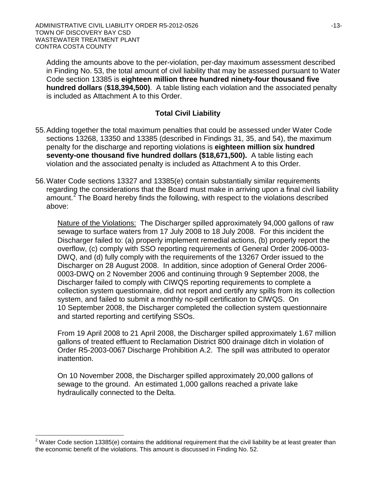Adding the amounts above to the per-violation, per-day maximum assessment described in Finding No. 53, the total amount of civil liability that may be assessed pursuant to Water Code section 13385 is **eighteen million three hundred ninety-four thousand five hundred dollars** (**\$18,394,500)**. A table listing each violation and the associated penalty is included as Attachment A to this Order.

# **Total Civil Liability**

- 55.Adding together the total maximum penalties that could be assessed under Water Code sections 13268, 13350 and 13385 (described in Findings 31, 35, and 54), the maximum penalty for the discharge and reporting violations is **eighteen million six hundred seventy-one thousand five hundred dollars (\$18,671,500).** A table listing each violation and the associated penalty is included as Attachment A to this Order.
- 56.Water Code sections 13327 and 13385(e) contain substantially similar requirements regarding the considerations that the Board must make in arriving upon a final civil liability amount.<sup>[2](#page-2-0)</sup> The Board hereby finds the following, with respect to the violations described above:

Nature of the Violations: The Discharger spilled approximately 94,000 gallons of raw sewage to surface waters from 17 July 2008 to 18 July 2008. For this incident the Discharger failed to: (a) properly implement remedial actions, (b) properly report the overflow, (c) comply with SSO reporting requirements of General Order 2006-0003- DWQ, and (d) fully comply with the requirements of the 13267 Order issued to the Discharger on 28 August 2008. In addition, since adoption of General Order 2006- 0003-DWQ on 2 November 2006 and continuing through 9 September 2008, the Discharger failed to comply with CIWQS reporting requirements to complete a collection system questionnaire, did not report and certify any spills from its collection system, and failed to submit a monthly no-spill certification to CIWQS. On 10 September 2008, the Discharger completed the collection system questionnaire and started reporting and certifying SSOs.

From 19 April 2008 to 21 April 2008, the Discharger spilled approximately 1.67 million gallons of treated effluent to Reclamation District 800 drainage ditch in violation of Order R5-2003-0067 Discharge Prohibition A.2. The spill was attributed to operator inattention.

On 10 November 2008, the Discharger spilled approximately 20,000 gallons of sewage to the ground. An estimated 1,000 gallons reached a private lake hydraulically connected to the Delta.

 $2$  Water Code section 13385(e) contains the additional requirement that the civil liability be at least greater than the economic benefit of the violations. This amount is discussed in Finding No. 52.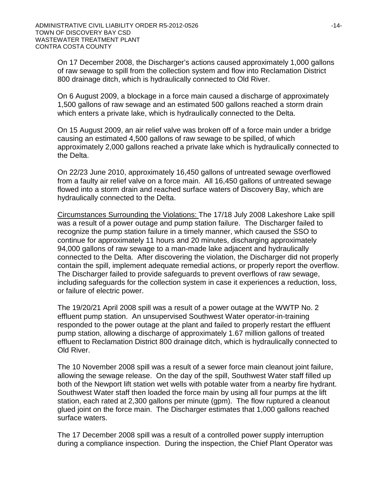On 17 December 2008, the Discharger's actions caused approximately 1,000 gallons of raw sewage to spill from the collection system and flow into Reclamation District 800 drainage ditch, which is hydraulically connected to Old River.

On 6 August 2009, a blockage in a force main caused a discharge of approximately 1,500 gallons of raw sewage and an estimated 500 gallons reached a storm drain which enters a private lake, which is hydraulically connected to the Delta.

On 15 August 2009, an air relief valve was broken off of a force main under a bridge causing an estimated 4,500 gallons of raw sewage to be spilled, of which approximately 2,000 gallons reached a private lake which is hydraulically connected to the Delta.

On 22/23 June 2010, approximately 16,450 gallons of untreated sewage overflowed from a faulty air relief valve on a force main. All 16,450 gallons of untreated sewage flowed into a storm drain and reached surface waters of Discovery Bay, which are hydraulically connected to the Delta.

Circumstances Surrounding the Violations: The 17/18 July 2008 Lakeshore Lake spill was a result of a power outage and pump station failure. The Discharger failed to recognize the pump station failure in a timely manner, which caused the SSO to continue for approximately 11 hours and 20 minutes, discharging approximately 94,000 gallons of raw sewage to a man-made lake adjacent and hydraulically connected to the Delta. After discovering the violation, the Discharger did not properly contain the spill, implement adequate remedial actions, or properly report the overflow. The Discharger failed to provide safeguards to prevent overflows of raw sewage, including safeguards for the collection system in case it experiences a reduction, loss, or failure of electric power.

The 19/20/21 April 2008 spill was a result of a power outage at the WWTP No. 2 effluent pump station. An unsupervised Southwest Water operator-in-training responded to the power outage at the plant and failed to properly restart the effluent pump station, allowing a discharge of approximately 1.67 million gallons of treated effluent to Reclamation District 800 drainage ditch, which is hydraulically connected to Old River.

The 10 November 2008 spill was a result of a sewer force main cleanout joint failure, allowing the sewage release. On the day of the spill, Southwest Water staff filled up both of the Newport lift station wet wells with potable water from a nearby fire hydrant. Southwest Water staff then loaded the force main by using all four pumps at the lift station, each rated at 2,300 gallons per minute (gpm). The flow ruptured a cleanout glued joint on the force main. The Discharger estimates that 1,000 gallons reached surface waters.

The 17 December 2008 spill was a result of a controlled power supply interruption during a compliance inspection. During the inspection, the Chief Plant Operator was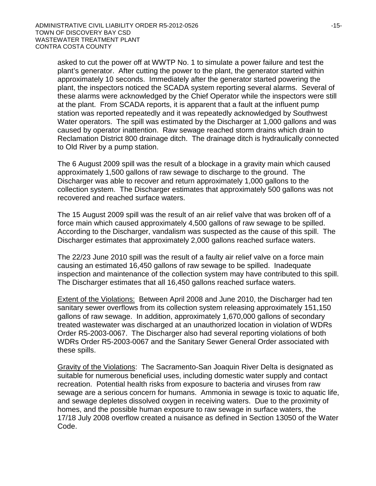asked to cut the power off at WWTP No. 1 to simulate a power failure and test the plant's generator. After cutting the power to the plant, the generator started within approximately 10 seconds. Immediately after the generator started powering the plant, the inspectors noticed the SCADA system reporting several alarms. Several of these alarms were acknowledged by the Chief Operator while the inspectors were still at the plant. From SCADA reports, it is apparent that a fault at the influent pump station was reported repeatedly and it was repeatedly acknowledged by Southwest Water operators. The spill was estimated by the Discharger at 1,000 gallons and was caused by operator inattention. Raw sewage reached storm drains which drain to Reclamation District 800 drainage ditch. The drainage ditch is hydraulically connected to Old River by a pump station.

The 6 August 2009 spill was the result of a blockage in a gravity main which caused approximately 1,500 gallons of raw sewage to discharge to the ground. The Discharger was able to recover and return approximately 1,000 gallons to the collection system. The Discharger estimates that approximately 500 gallons was not recovered and reached surface waters.

The 15 August 2009 spill was the result of an air relief valve that was broken off of a force main which caused approximately 4,500 gallons of raw sewage to be spilled. According to the Discharger, vandalism was suspected as the cause of this spill. The Discharger estimates that approximately 2,000 gallons reached surface waters.

The 22/23 June 2010 spill was the result of a faulty air relief valve on a force main causing an estimated 16,450 gallons of raw sewage to be spilled. Inadequate inspection and maintenance of the collection system may have contributed to this spill. The Discharger estimates that all 16,450 gallons reached surface waters.

Extent of the Violations: Between April 2008 and June 2010, the Discharger had ten sanitary sewer overflows from its collection system releasing approximately 151,150 gallons of raw sewage. In addition, approximately 1,670,000 gallons of secondary treated wastewater was discharged at an unauthorized location in violation of WDRs Order R5-2003-0067. The Discharger also had several reporting violations of both WDRs Order R5-2003-0067 and the Sanitary Sewer General Order associated with these spills.

Gravity of the Violations: The Sacramento-San Joaquin River Delta is designated as suitable for numerous beneficial uses, including domestic water supply and contact recreation. Potential health risks from exposure to bacteria and viruses from raw sewage are a serious concern for humans. Ammonia in sewage is toxic to aquatic life, and sewage depletes dissolved oxygen in receiving waters. Due to the proximity of homes, and the possible human exposure to raw sewage in surface waters, the 17/18 July 2008 overflow created a nuisance as defined in Section 13050 of the Water Code.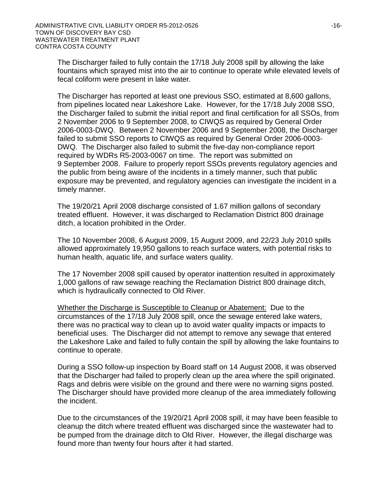The Discharger failed to fully contain the 17/18 July 2008 spill by allowing the lake fountains which sprayed mist into the air to continue to operate while elevated levels of fecal coliform were present in lake water.

The Discharger has reported at least one previous SSO, estimated at 8,600 gallons, from pipelines located near Lakeshore Lake. However, for the 17/18 July 2008 SSO, the Discharger failed to submit the initial report and final certification for all SSOs, from 2 November 2006 to 9 September 2008, to CIWQS as required by General Order 2006-0003-DWQ. Between 2 November 2006 and 9 September 2008, the Discharger failed to submit SSO reports to CIWQS as required by General Order 2006-0003- DWQ. The Discharger also failed to submit the five-day non-compliance report required by WDRs R5-2003-0067 on time. The report was submitted on 9 September 2008. Failure to properly report SSOs prevents regulatory agencies and the public from being aware of the incidents in a timely manner, such that public exposure may be prevented, and regulatory agencies can investigate the incident in a timely manner.

The 19/20/21 April 2008 discharge consisted of 1.67 million gallons of secondary treated effluent. However, it was discharged to Reclamation District 800 drainage ditch, a location prohibited in the Order.

The 10 November 2008, 6 August 2009, 15 August 2009, and 22/23 July 2010 spills allowed approximately 19,950 gallons to reach surface waters, with potential risks to human health, aquatic life, and surface waters quality.

The 17 November 2008 spill caused by operator inattention resulted in approximately 1,000 gallons of raw sewage reaching the Reclamation District 800 drainage ditch, which is hydraulically connected to Old River.

Whether the Discharge is Susceptible to Cleanup or Abatement: Due to the circumstances of the 17/18 July 2008 spill, once the sewage entered lake waters, there was no practical way to clean up to avoid water quality impacts or impacts to beneficial uses. The Discharger did not attempt to remove any sewage that entered the Lakeshore Lake and failed to fully contain the spill by allowing the lake fountains to continue to operate.

During a SSO follow-up inspection by Board staff on 14 August 2008, it was observed that the Discharger had failed to properly clean up the area where the spill originated. Rags and debris were visible on the ground and there were no warning signs posted. The Discharger should have provided more cleanup of the area immediately following the incident.

Due to the circumstances of the 19/20/21 April 2008 spill, it may have been feasible to cleanup the ditch where treated effluent was discharged since the wastewater had to be pumped from the drainage ditch to Old River. However, the illegal discharge was found more than twenty four hours after it had started.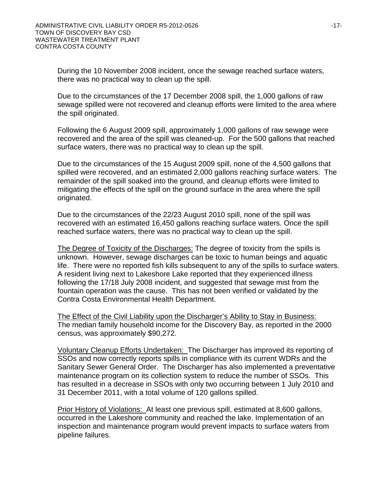During the 10 November 2008 incident, once the sewage reached surface waters, there was no practical way to clean up the spill.

Due to the circumstances of the 17 December 2008 spill, the 1,000 gallons of raw sewage spilled were not recovered and cleanup efforts were limited to the area where the spill originated.

Following the 6 August 2009 spill, approximately 1,000 gallons of raw sewage were recovered and the area of the spill was cleaned-up. For the 500 gallons that reached surface waters, there was no practical way to clean up the spill.

Due to the circumstances of the 15 August 2009 spill, none of the 4,500 gallons that spilled were recovered, and an estimated 2,000 gallons reaching surface waters. The remainder of the spill soaked into the ground, and cleanup efforts were limited to mitigating the effects of the spill on the ground surface in the area where the spill originated.

Due to the circumstances of the 22/23 August 2010 spill, none of the spill was recovered with an estimated 16,450 gallons reaching surface waters. Once the spill reached surface waters, there was no practical way to clean up the spill.

The Degree of Toxicity of the Discharges: The degree of toxicity from the spills is unknown. However, sewage discharges can be toxic to human beings and aquatic life. There were no reported fish kills subsequent to any of the spills to surface waters. A resident living next to Lakeshore Lake reported that they experienced illness following the 17/18 July 2008 incident, and suggested that sewage mist from the fountain operation was the cause. This has not been verified or validated by the Contra Costa Environmental Health Department.

The Effect of the Civil Liability upon the Discharger's Ability to Stay in Business: The median family household income for the Discovery Bay, as reported in the 2000 census, was approximately \$90,272.

Voluntary Cleanup Efforts Undertaken: The Discharger has improved its reporting of SSOs and now correctly reports spills in compliance with its current WDRs and the Sanitary Sewer General Order. The Discharger has also implemented a preventative maintenance program on its collection system to reduce the number of SSOs. This has resulted in a decrease in SSOs with only two occurring between 1 July 2010 and 31 December 2011, with a total volume of 120 gallons spilled.

Prior History of Violations: At least one previous spill, estimated at 8,600 gallons, occurred in the Lakeshore community and reached the lake. Implementation of an inspection and maintenance program would prevent impacts to surface waters from pipeline failures.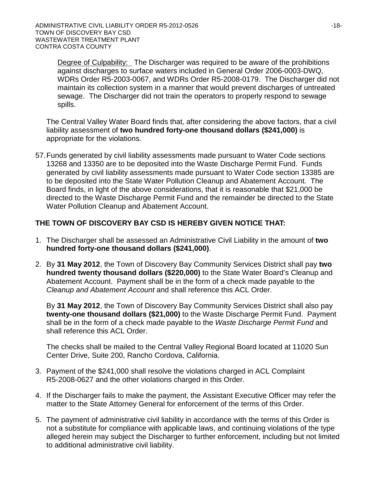Degree of Culpability: The Discharger was required to be aware of the prohibitions against discharges to surface waters included in General Order 2006-0003-DWQ, WDRs Order R5-2003-0067, and WDRs Order R5-2008-0179. The Discharger did not maintain its collection system in a manner that would prevent discharges of untreated sewage. The Discharger did not train the operators to properly respond to sewage spills.

The Central Valley Water Board finds that, after considering the above factors, that a civil liability assessment of **two hundred forty-one thousand dollars (\$241,000)** is appropriate for the violations.

57.Funds generated by civil liability assessments made pursuant to Water Code sections 13268 and 13350 are to be deposited into the Waste Discharge Permit Fund. Funds generated by civil liability assessments made pursuant to Water Code section 13385 are to be deposited into the State Water Pollution Cleanup and Abatement Account. The Board finds, in light of the above considerations, that it is reasonable that \$21,000 be directed to the Waste Discharge Permit Fund and the remainder be directed to the State Water Pollution Cleanup and Abatement Account.

## **THE TOWN OF DISCOVERY BAY CSD IS HEREBY GIVEN NOTICE THAT:**

- 1. The Discharger shall be assessed an Administrative Civil Liability in the amount of **two hundred forty-one thousand dollars (\$241,000)**.
- 2. By **31 May 2012**, the Town of Discovery Bay Community Services District shall pay **two hundred twenty thousand dollars (\$220,000)** to the State Water Board's Cleanup and Abatement Account. Payment shall be in the form of a check made payable to the *Cleanup and Abatement Account* and shall reference this ACL Order.

By **31 May 2012**, the Town of Discovery Bay Community Services District shall also pay **twenty-one thousand dollars (\$21,000)** to the Waste Discharge Permit Fund. Payment shall be in the form of a check made payable to the *Waste Discharge Permit Fund* and shall reference this ACL Order.

The checks shall be mailed to the Central Valley Regional Board located at 11020 Sun Center Drive, Suite 200, Rancho Cordova, California.

- 3. Payment of the \$241,000 shall resolve the violations charged in ACL Complaint R5-2008-0627 and the other violations charged in this Order.
- 4. If the Discharger fails to make the payment, the Assistant Executive Officer may refer the matter to the State Attorney General for enforcement of the terms of this Order.
- 5. The payment of administrative civil liability in accordance with the terms of this Order is not a substitute for compliance with applicable laws, and continuing violations of the type alleged herein may subject the Discharger to further enforcement, including but not limited to additional administrative civil liability.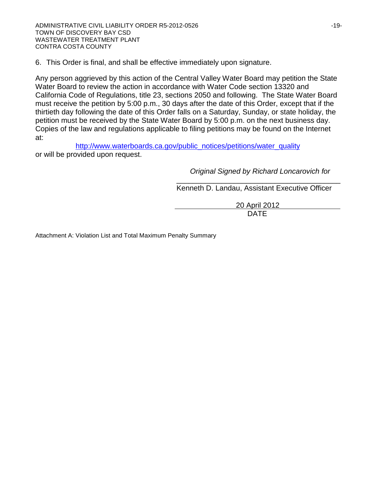6. This Order is final, and shall be effective immediately upon signature.

Any person aggrieved by this action of the Central Valley Water Board may petition the State Water Board to review the action in accordance with Water Code section 13320 and California Code of Regulations, title 23, sections 2050 and following. The State Water Board must receive the petition by 5:00 p.m., 30 days after the date of this Order, except that if the thirtieth day following the date of this Order falls on a Saturday, Sunday, or state holiday, the petition must be received by the State Water Board by 5:00 p.m. on the next business day. Copies of the law and regulations applicable to filing petitions may be found on the Internet at:

[http://www.waterboards.ca.gov/public\\_notices/petitions/water\\_quality](http://www.waterboards.ca.gov/public_notices/petitions/water_quality) or will be provided upon request.

> *Original Signed by Richard Loncarovich for* \_\_\_\_\_\_\_\_\_\_\_\_\_\_\_\_\_\_\_\_\_\_\_\_\_\_\_\_\_\_\_\_\_\_\_\_\_\_\_\_

Kenneth D. Landau, Assistant Executive Officer

 20 April 2012 DATE

Attachment A: Violation List and Total Maximum Penalty Summary